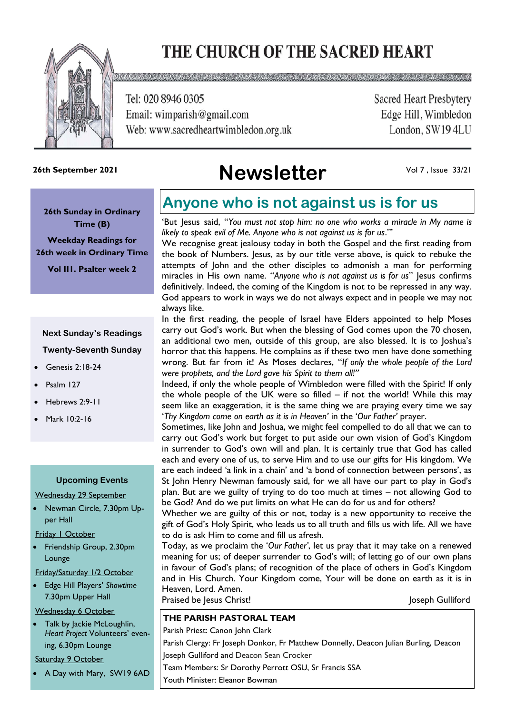# THE CHURCH OF THE SACRED HEART



X 2 C D 2 X 3 Q Q C Q C D X X C D C D Q D C D C D C D C D C D C D 2 X 3 Q Q C D C D C D C D C D C D C D C D C

Tel: 020 8946 0305 Email: wimparish@gmail.com Web: www.sacredheartwimbledon.org.uk **Sacred Heart Presbytery** Edge Hill, Wimbledon London, SW194LU

# **Newsletter 26th September 2021**

Vol 7 , Issue 33/21

**26th Sunday in Ordinary Time (B)** 

**Weekday Readings for 26th week in Ordinary Time**

**Vol II1. Psalter week 2**

### **Next Sunday's Readings Twenty-Seventh Sunday**

- Genesis 2:18-24
- Psalm 127
- Hebrews 2:9-11
- Mark 10:2-16

#### **Upcoming Events**

Wednesday 29 September

- Newman Circle, 7.30pm Upper Hall
- Friday 1 October
- Friendship Group, 2.30pm Lounge

Friday/Saturday 1/2 October

• Edge Hill Players' *Showtime* 7.30pm Upper Hall

#### Wednesday 6 October

• Talk by Jackie McLoughlin, *Heart Project* Volunteers' evening, 6.30pm Lounge

#### Saturday 9 October

• A Day with Mary, SW19 6AD

## **Anyone who is not against us is for us**

'But Jesus said, "*You must not stop him: no one who works a miracle in My name is likely to speak evil of Me. Anyone who is not against us is for us*."'

We recognise great jealousy today in both the Gospel and the first reading from the book of Numbers. Jesus, as by our title verse above, is quick to rebuke the attempts of John and the other disciples to admonish a man for performing miracles in His own name. "*Anyone who is not against us is for us*" Jesus confirms definitively. Indeed, the coming of the Kingdom is not to be repressed in any way. God appears to work in ways we do not always expect and in people we may not always like.

In the first reading, the people of Israel have Elders appointed to help Moses carry out God's work. But when the blessing of God comes upon the 70 chosen, an additional two men, outside of this group, are also blessed. It is to Joshua's horror that this happens. He complains as if these two men have done something wrong. But far from it! As Moses declares, "*If only the whole people of the Lord were prophets, and the Lord gave his Spirit to them all!"*

Indeed, if only the whole people of Wimbledon were filled with the Spirit! If only the whole people of the UK were so filled – if not the world! While this may seem like an exaggeration, it is the same thing we are praying every time we say '*Thy Kingdom come on earth as it is in Heaven'* in the '*Our Father'* prayer.

Sometimes, like John and Joshua, we might feel compelled to do all that we can to carry out God's work but forget to put aside our own vision of God's Kingdom in surrender to God's own will and plan. It is certainly true that God has called each and every one of us, to serve Him and to use our gifts for His kingdom. We are each indeed 'a link in a chain' and 'a bond of connection between persons', as St John Henry Newman famously said, for we all have our part to play in God's plan. But are we guilty of trying to do too much at times – not allowing God to be God? And do we put limits on what He can do for us and for others?

Whether we are guilty of this or not, today is a new opportunity to receive the gift of God's Holy Spirit, who leads us to all truth and fills us with life. All we have to do is ask Him to come and fill us afresh.

Today, as we proclaim the '*Our Father'*, let us pray that it may take on a renewed meaning for us; of deeper surrender to God's will; of letting go of our own plans in favour of God's plans; of recognition of the place of others in God's Kingdom and in His Church. Your Kingdom come, Your will be done on earth as it is in Heaven, Lord. Amen.

Praised be Jesus Christ! Joseph Gulliford

#### **THE PARISH PASTORAL TEAM**

Parish Priest: Canon John Clark Parish Clergy: Fr Joseph Donkor, Fr Matthew Donnelly, Deacon Julian Burling, Deacon Joseph Gulliford and Deacon Sean Crocker Team Members: Sr Dorothy Perrott OSU, Sr Francis SSA Youth Minister: Eleanor Bowman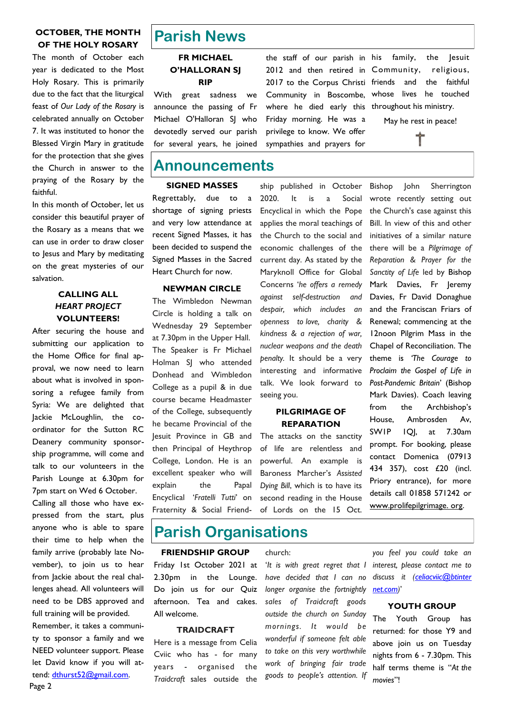#### **OCTOBER, THE MONTH OF THE HOLY ROSARY**

The month of October each year is dedicated to the Most Holy Rosary. This is primarily due to the fact that the liturgical feast of *Our Lady of the Rosary* is celebrated annually on October 7. It was instituted to honor the Blessed Virgin Mary in gratitude for the protection that she gives the Church in answer to the praying of the Rosary by the faithful.

In this month of October, let us consider this beautiful prayer of the Rosary as a means that we can use in order to draw closer to Jesus and Mary by meditating on the great mysteries of our salvation.

#### **CALLING ALL**  *HEART PROJECT* **VOLUNTEERS!**

After securing the house and submitting our application to the Home Office for final approval, we now need to learn about what is involved in sponsoring a refugee family from Syria: We are delighted that Jackie McLoughlin, the coordinator for the Sutton RC Deanery community sponsorship programme, will come and talk to our volunteers in the Parish Lounge at 6.30pm for 7pm start on Wed 6 October.

Calling all those who have expressed from the start, plus anyone who is able to spare their time to help when the family arrive (probably late November), to join us to hear from Jackie about the real challenges ahead. All volunteers will need to be DBS approved and full training will be provided. Remember, it takes a community to sponsor a family and we

NEED volunteer support. Please let David know if you will attend: [dthurst52@gmail.com.](mailto:dthurst52@gmail.com)

Page 2

## **Parish News**

#### **FR MICHAEL O'HALLORAN SJ RIP**

With great sadness we announce the passing of Fr Michael O'Halloran SI who devotedly served our parish for several years, he joined

### **Announcements**

#### **SIGNED MASSES**

Regrettably, due to a shortage of signing priests and very low attendance at recent Signed Masses, it has been decided to suspend the Signed Masses in the Sacred Heart Church for now.

#### **NEWMAN CIRCLE**

The Wimbledon Newman Circle is holding a talk on Wednesday 29 September at 7.30pm in the Upper Hall. The Speaker is Fr Michael Holman SJ who attended Donhead and Wimbledon College as a pupil & in due course became Headmaster of the College, subsequently he became Provincial of the Jesuit Province in GB and then Principal of Heythrop College, London. He is an excellent speaker who will explain the Papal Encyclical '*Fratelli Tutti*' on Fraternity & Social Friend-

the staff of our parish in 2012 and then retired in Community, religious, 2017 to the Corpus Christi friends and the faithful Community in Boscombe, whose lives he touched where he died early this throughout his ministry. Friday morning. He was a privilege to know. We offer sympathies and prayers for

ship published in October 2020. It is a Social Encyclical in which the Pope applies the moral teachings of the Church to the social and economic challenges of the current day. As stated by the Maryknoll Office for Global Concerns '*he offers a remedy against self-destruction and despair, which includes an openness to love, charity & kindness & a rejection of war, nuclear weapons and the death penalty.* It should be a very interesting and informative talk. We look forward to seeing you.

#### **PILGRIMAGE OF REPARATION**

The attacks on the sanctity of life are relentless and powerful. An example is Baroness Marcher's *Assisted Dying Bill*, which is to have its second reading in the House of Lords on the 15 Oct.

Bishop John Sherrington wrote recently setting out the Church's case against this Bill. In view of this and other initiatives of a similar nature there will be a *Pilgrimage of Reparation & Prayer for the Sanctity of Life* led by Bishop Mark Davies, Fr Jeremy Davies, Fr David Donaghue and the Franciscan Friars of Renewal; commencing at the 12noon Pilgrim Mass in the Chapel of Reconciliation. The theme is *'The Courage to Proclaim the Gospel of Life in Post-Pandemic Britain*' (Bishop Mark Davies). Coach leaving from the Archbishop's House, Ambrosden Av, SW1P 1QJ, at 7.30am prompt. For booking, please contact Domenica (07913 434 357), cost £20 (incl. Priory entrance), for more details call 01858 571242 or www.prolifepilgrimage. org.

### **Parish Organisations**

#### **FRIENDSHIP GROUP**

Friday 1st October 2021 at 2.30pm in the Lounge. Do join us for our Quiz afternoon. Tea and cakes. All welcome.

#### **TRAIDCRAFT**

Here is a message from Celia Cviic who has - for many years - organised the *Traidcraft* sales outside the

#### church:

'*It is with great regret that I interest, please contact me to have decided that I can no longer organise the fortnightly sales of Traidcraft goods outside the church on Sunday mornings. It would be wonderful if someone felt able to take on this very worthwhile work of bringing fair trade goods to people's attention. If* 

*you feel you could take an discuss it ([celiacviic@btinter](mailto:celiacviic@btinternet.com)  [net.com\)](mailto:celiacviic@btinternet.com)*'

#### **YOUTH GROUP**

The Youth Group has returned: for those Y9 and above join us on Tuesday nights from 6 - 7.30pm. This half terms theme is "*At the movies*"!

family, the Jesuit May he rest in peace!

Ť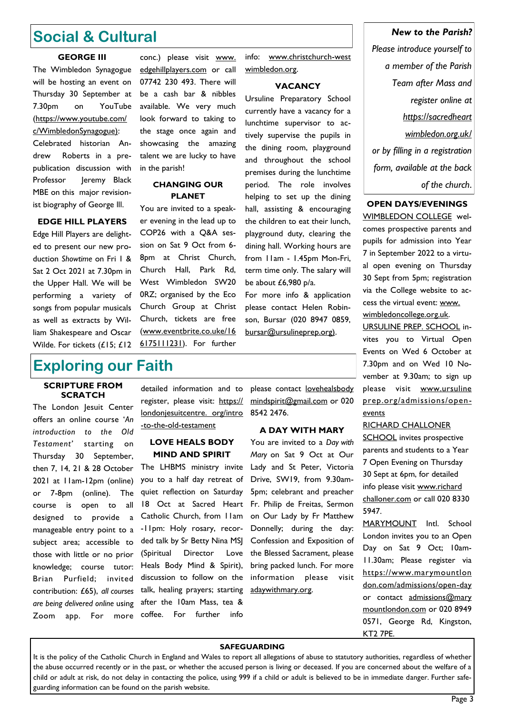### **Social & Cultural**

#### **GEORGE III**

The Wimbledon Synagogue will be hosting an event on Thursday 30 September at 7.30pm on YouTube (https://www.youtube.com/ c/WimbledonSynagogue):

Celebrated historian Andrew Roberts in a prepublication discussion with Professor Jeremy Black MBE on this major revisionist biography of George lll.

#### **EDGE HILL PLAYERS**

Edge Hill Players are delighted to present our new production *Showtime* on Fri 1 & Sat 2 Oct 2021 at 7.30pm in the Upper Hall. We will be performing a variety of songs from popular musicals as well as extracts by William Shakespeare and Oscar Wilde. For tickets (£15; £12

conc.) please visit [www.](http://www.edgehillplayers.com/)  [edgehillplayers.com](http://www.edgehillplayers.com/) or call 07742 230 493. There will be a cash bar & nibbles available. We very much look forward to taking to the stage once again and showcasing the amazing talent we are lucky to have in the parish!

#### **CHANGING OUR PLANET**

You are invited to a speaker evening in the lead up to COP26 with a Q&A session on Sat 9 Oct from 6- 8pm at Christ Church, Church Hall, Park Rd, West Wimbledon SW20 0RZ; organised by the Eco Church Group at Christ Church, tickets are free (www.eventbrite.co.uke/16 6175111231). For further

### **Exploring our Faith**

#### **SCRIPTURE FROM SCRATCH**

The London Jesuit Center offers an online course '*An introduction to the Old Testament'* starting on Thursday 30 September, then 7, 14, 21 & 28 October 2021 at 11am-12pm (online) or 7-8pm (online). The course is open to all designed to provide a manageable entry point to a subject area; accessible to those with little or no prior knowledge; course tutor: Brian Purfield; invited contribution: £65), *all courses are being delivered online* using Zoom app. For more

detailed information and to register, please visit: https:// londonjesuitcentre. org/intro -to-the-old-testament

#### **LOVE HEALS BODY MIND AND SPIRIT**

The LHBMS ministry invite you to a half day retreat of quiet reflection on Saturday 18 Oct at Sacred Heart Catholic Church, from 11am -11pm: Holy rosary, recorded talk by Sr Betty Nina MSJ (Spiritual Director Love Heals Body Mind & Spirit), discussion to follow on the talk, healing prayers; starting after the 10am Mass, tea & coffee. For further info

please contact [lovehealsbody](mailto:lovehealsbodymindspirit@gmail.com)  [mindspirit@gmail.com](mailto:lovehealsbodymindspirit@gmail.com) or 020

info: www.christchurch-west

**VACANCY** Ursuline Preparatory School currently have a vacancy for a lunchtime supervisor to actively supervise the pupils in the dining room, playground and throughout the school premises during the lunchtime period. The role involves helping to set up the dining hall, assisting & encouraging the children to eat their lunch, playground duty, clearing the dining hall. Working hours are from 11am - 1.45pm Mon-Fri, term time only. The salary will

wimbledon.org.

#### **A DAY WITH MARY**

8542 2476.

be about £6,980 p/a.

For more info & application please contact Helen Robinson, Bursar (020 8947 0859, bursar@ursulineprep.org).

You are invited to a *Day with Mary* on Sat 9 Oct at Our Lady and St Peter, Victoria Drive, SW19, from 9.30am-5pm; celebrant and preacher Fr. Philip de Freitas, Sermon on Our Lady by Fr Matthew Donnelly; during the day: Confession and Exposition of the Blessed Sacrament, please bring packed lunch. For more information please visit adaywithmary.org.

### *New to the Parish? Please introduce yourself to a member of the Parish Team after Mass and register online at https://sacredheart wimbledon.org.uk/ or by filling in a registration form, available at the back*

*of the church*.

#### **OPEN DAYS/EVENINGS** WIMBLEDON COLLEGE wel-

comes prospective parents and pupils for admission into Year 7 in September 2022 to a virtual open evening on Thursday 30 Sept from 5pm; registration via the College website to access the virtual event: www. wimbledoncollege.org.uk.

URSULINE PREP. SCHOOL invites you to Virtual Open Events on Wed 6 October at 7.30pm and on Wed 10 November at 9.30am; to sign up please visit www.ursuline prep.org/admissions/openevents

#### RICHARD CHALLONER

SCHOOL invites prospective parents and students to a Year 7 Open Evening on Thursday 30 Sept at 6pm, for detailed info please visit www.richard challoner.com or call 020 8330 5947.

MARYMOUNT Intl. School London invites you to an Open Day on Sat 9 Oct; 10am-11.30am; Please register via [https://www.marymountlon](https://www.marymountlondon.com/admissions/open-day)  [don.com/admissions/open-day](https://www.marymountlondon.com/admissions/open-day) or contact admissions@mary [mountlondon.com](mailto:admissions@marymountlondon.com) or 020 8949 0571, George Rd, Kingston, KT<sub>2</sub> 7PE

#### **SAFEGUARDING**

It is the policy of the Catholic Church in England and Wales to report all allegations of abuse to statutory authorities, regardless of whether the abuse occurred recently or in the past, or whether the accused person is living or deceased. If you are concerned about the welfare of a child or adult at risk, do not delay in contacting the police, using 999 if a child or adult is believed to be in immediate danger. Further safeguarding information can be found on the parish website.